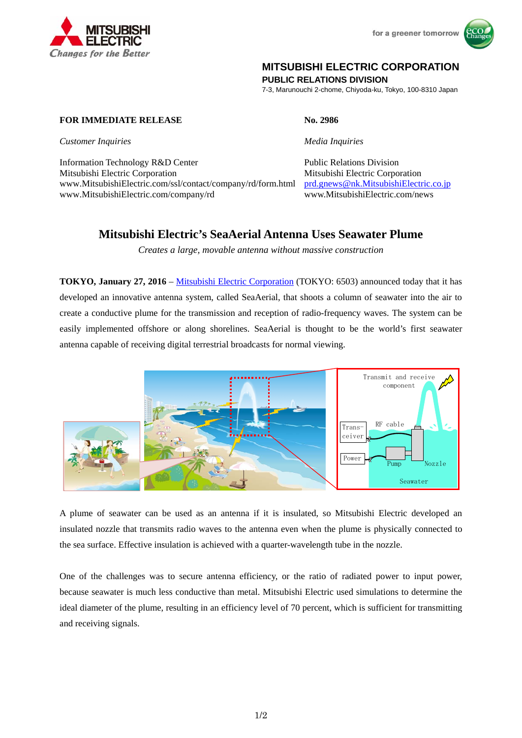



## **MITSUBISHI ELECTRIC CORPORATION**

**PUBLIC RELATIONS DIVISION** 

7-3, Marunouchi 2-chome, Chiyoda-ku, Tokyo, 100-8310 Japan

## **FOR IMMEDIATE RELEASE No. 2986**

*Customer Inquiries Media Inquiries*

Information Technology R&D Center Public Relations Division Mitsubishi Electric Corporation Mitsubishi Electric Corporation www.MitsubishiElectric.com/ssl/contact/company/rd/form.html prd.gnews@nk.MitsubishiElectric.co.jp www.MitsubishiElectric.com/company/rd www.MitsubishiElectric.com/news

# **Mitsubishi Electric's SeaAerial Antenna Uses Seawater Plume**

*Creates a large, movable antenna without massive construction* 

**TOKYO, January 27, 2016** – Mitsubishi Electric Corporation (TOKYO: 6503) announced today that it has developed an innovative antenna system, called SeaAerial, that shoots a column of seawater into the air to create a conductive plume for the transmission and reception of radio-frequency waves. The system can be easily implemented offshore or along shorelines. SeaAerial is thought to be the world's first seawater antenna capable of receiving digital terrestrial broadcasts for normal viewing.



A plume of seawater can be used as an antenna if it is insulated, so Mitsubishi Electric developed an insulated nozzle that transmits radio waves to the antenna even when the plume is physically connected to the sea surface. Effective insulation is achieved with a quarter-wavelength tube in the nozzle.

One of the challenges was to secure antenna efficiency, or the ratio of radiated power to input power, because seawater is much less conductive than metal. Mitsubishi Electric used simulations to determine the ideal diameter of the plume, resulting in an efficiency level of 70 percent, which is sufficient for transmitting and receiving signals.